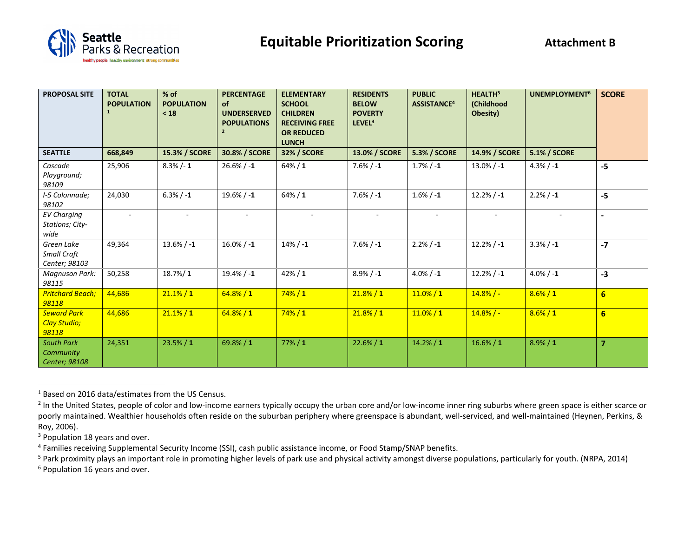

| <b>PROPOSAL SITE</b>                              | <b>TOTAL</b><br><b>POPULATION</b><br>$\mathbf{1}$ | $%$ of<br><b>POPULATION</b><br>< 18 | <b>PERCENTAGE</b><br><b>of</b><br><b>UNDERSERVED</b><br><b>POPULATIONS</b><br>$\overline{2}$ | <b>ELEMENTARY</b><br><b>SCHOOL</b><br><b>CHILDREN</b><br><b>RECEIVING FREE</b><br><b>OR REDUCED</b><br><b>LUNCH</b> | <b>RESIDENTS</b><br><b>BELOW</b><br><b>POVERTY</b><br>LEVEL <sup>3</sup> | <b>PUBLIC</b><br>ASSISTANCE <sup>4</sup> | HEALTH <sup>5</sup><br>(Childhood<br>Obesity) | <b>UNEMPLOYMENT<sup>6</sup></b> | <b>SCORE</b>    |
|---------------------------------------------------|---------------------------------------------------|-------------------------------------|----------------------------------------------------------------------------------------------|---------------------------------------------------------------------------------------------------------------------|--------------------------------------------------------------------------|------------------------------------------|-----------------------------------------------|---------------------------------|-----------------|
| <b>SEATTLE</b>                                    | 668,849                                           | 15.3% / SCORE                       | 30.8% / SCORE                                                                                | <b>32% / SCORE</b>                                                                                                  | 13.0% / SCORE                                                            | <b>5.3% / SCORE</b>                      | 14.9% / SCORE                                 | <b>5.1% / SCORE</b>             |                 |
| Cascade<br>Playground;<br>98109                   | 25,906                                            | $8.3\%$ /-1                         | $26.6\% / -1$                                                                                | $64\% / 1$                                                                                                          | $7.6\% / -1$                                                             | $1.7\% / -1$                             | $13.0\%$ / -1                                 | $4.3% / -1$                     | $-5$            |
| I-5 Colonnade;<br>98102                           | 24,030                                            | $6.3% / -1$                         | 19.6%/ $-1$                                                                                  | $64\% / 1$                                                                                                          | $7.6\% / -1$                                                             | $1.6\% / -1$                             | $12.2\% / -1$                                 | $2.2% / -1$                     | $-5$            |
| <b>EV Charging</b><br>Stations; City-<br>wide     |                                                   |                                     |                                                                                              |                                                                                                                     |                                                                          |                                          |                                               |                                 | $\blacksquare$  |
| Green Lake<br><b>Small Craft</b><br>Center; 98103 | 49,364                                            | $13.6\% / -1$                       | $16.0\% / -1$                                                                                | $14\% / -1$                                                                                                         | $7.6\% / -1$                                                             | $2.2% / -1$                              | $12.2% / -1$                                  | $3.3% / -1$                     | $-7$            |
| Magnuson Park:<br>98115                           | 50,258                                            | $18.7\%/1$                          | 19.4% $/ -1$                                                                                 | $42\% / 1$                                                                                                          | $8.9\%$ / -1                                                             | $4.0\% / -1$                             | $12.2\% / -1$                                 | $4.0\% / -1$                    | $-3$            |
| <b>Pritchard Beach;</b><br>98118                  | 44,686                                            | $21.1\% / 1$                        | $64.8\% / 1$                                                                                 | $74\%/1$                                                                                                            | 21.8% / 1                                                                | $11.0\% / 1$                             | $14.8% / -$                                   | $8.6\% / 1$                     | $6\overline{6}$ |
| <b>Seward Park</b><br>Clay Studio;<br>98118       | 44,686                                            | $21.1\% / 1$                        | $64.8\% / 1$                                                                                 | $74\% / 1$                                                                                                          | 21.8% / 1                                                                | $11.0\% / 1$                             | $14.8%$ / -                                   | $8.6\% / 1$                     | $6\overline{6}$ |
| <b>South Park</b><br>Community<br>Center; 98108   | 24,351                                            | 23.5% / 1                           | 69.8%/1                                                                                      | $77\% / 1$                                                                                                          | $22.6\% / 1$                                                             | 14.2% / 1                                | $16.6\% / 1$                                  | $8.9\% / 1$                     | $\overline{7}$  |

<sup>1</sup> Based on 2016 data/estimates from the US Census.

<sup>6</sup> Population 16 years and over.

<sup>&</sup>lt;sup>2</sup> In the United States, people of color and low-income earners typically occupy the urban core and/or low-income inner ring suburbs where green space is either scarce or poorly maintained. Wealthier households often reside on the suburban periphery where greenspace is abundant, well-serviced, and well-maintained (Heynen, Perkins, & Roy, 2006).

<sup>&</sup>lt;sup>3</sup> Population 18 years and over.

<sup>&</sup>lt;sup>4</sup> Families receiving Supplemental Security Income (SSI), cash public assistance income, or Food Stamp/SNAP benefits.

<sup>&</sup>lt;sup>5</sup> Park proximity plays an important role in promoting higher levels of park use and physical activity amongst diverse populations, particularly for youth. (NRPA, 2014)